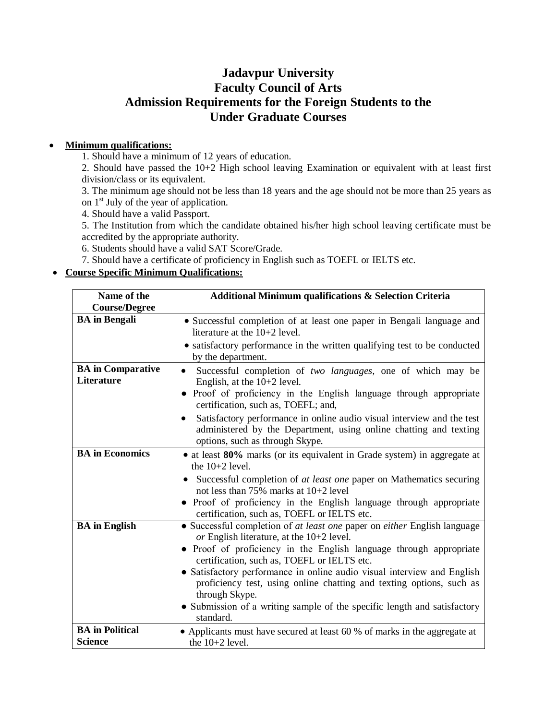## **Jadavpur University Faculty Council of Arts Admission Requirements for the Foreign Students to the Under Graduate Courses**

## **Minimum qualifications:**

1. Should have a minimum of 12 years of education.

2. Should have passed the 10+2 High school leaving Examination or equivalent with at least first division/class or its equivalent.

3. The minimum age should not be less than 18 years and the age should not be more than 25 years as on  $1<sup>st</sup>$  July of the year of application.

4. Should have a valid Passport.

5. The Institution from which the candidate obtained his/her high school leaving certificate must be accredited by the appropriate authority.

6. Students should have a valid SAT Score/Grade.

7. Should have a certificate of proficiency in English such as TOEFL or IELTS etc.

## **Course Specific Minimum Qualifications:**

| Name of the                            | <b>Additional Minimum qualifications &amp; Selection Criteria</b>                                                                                                                  |
|----------------------------------------|------------------------------------------------------------------------------------------------------------------------------------------------------------------------------------|
| <b>Course/Degree</b>                   |                                                                                                                                                                                    |
| <b>BA</b> in Bengali                   | • Successful completion of at least one paper in Bengali language and<br>literature at the $10+2$ level.                                                                           |
|                                        | • satisfactory performance in the written qualifying test to be conducted<br>by the department.                                                                                    |
| <b>BA</b> in Comparative<br>Literature | Successful completion of two languages, one of which may be<br>٠<br>English, at the $10+2$ level.<br>Proof of proficiency in the English language through appropriate<br>$\bullet$ |
|                                        | certification, such as, TOEFL; and,                                                                                                                                                |
|                                        | Satisfactory performance in online audio visual interview and the test<br>administered by the Department, using online chatting and texting<br>options, such as through Skype.     |
| <b>BA</b> in Economics                 | • at least 80% marks (or its equivalent in Grade system) in aggregate at<br>the $10+2$ level.                                                                                      |
|                                        | Successful completion of at least one paper on Mathematics securing<br>$\bullet$<br>not less than $75\%$ marks at $10+2$ level                                                     |
|                                        | • Proof of proficiency in the English language through appropriate<br>certification, such as, TOEFL or IELTS etc.                                                                  |
| <b>BA</b> in English                   | • Successful completion of at least one paper on either English language<br>or English literature, at the $10+2$ level.                                                            |
|                                        | • Proof of proficiency in the English language through appropriate<br>certification, such as, TOEFL or IELTS etc.                                                                  |
|                                        | • Satisfactory performance in online audio visual interview and English<br>proficiency test, using online chatting and texting options, such as<br>through Skype.                  |
|                                        | • Submission of a writing sample of the specific length and satisfactory<br>standard.                                                                                              |
| <b>BA</b> in Political                 | • Applicants must have secured at least 60 % of marks in the aggregate at                                                                                                          |
| <b>Science</b>                         | the $10+2$ level.                                                                                                                                                                  |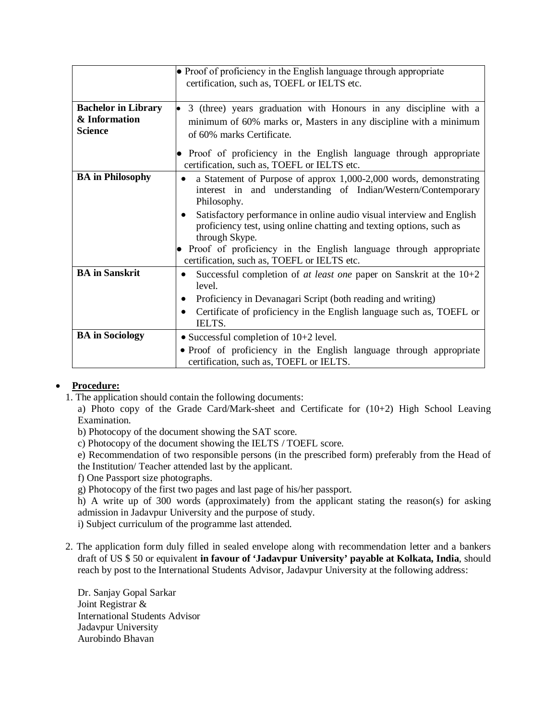|                                                               | • Proof of proficiency in the English language through appropriate<br>certification, such as, TOEFL or IELTS etc.                                                                                                                                                                                                                                                                                                                                   |
|---------------------------------------------------------------|-----------------------------------------------------------------------------------------------------------------------------------------------------------------------------------------------------------------------------------------------------------------------------------------------------------------------------------------------------------------------------------------------------------------------------------------------------|
| <b>Bachelor in Library</b><br>& Information<br><b>Science</b> | 3 (three) years graduation with Honours in any discipline with a<br>minimum of 60% marks or, Masters in any discipline with a minimum<br>of 60% marks Certificate.<br>• Proof of proficiency in the English language through appropriate<br>certification, such as, TOEFL or IELTS etc.                                                                                                                                                             |
| <b>BA</b> in Philosophy                                       | a Statement of Purpose of approx 1,000-2,000 words, demonstrating<br>interest in and understanding of Indian/Western/Contemporary<br>Philosophy.<br>Satisfactory performance in online audio visual interview and English<br>$\bullet$<br>proficiency test, using online chatting and texting options, such as<br>through Skype.<br>Proof of proficiency in the English language through appropriate<br>certification, such as, TOEFL or IELTS etc. |
| <b>BA</b> in Sanskrit                                         | Successful completion of <i>at least one</i> paper on Sanskrit at the $10+2$<br>level.<br>Proficiency in Devanagari Script (both reading and writing)<br>$\bullet$<br>Certificate of proficiency in the English language such as, TOEFL or<br>$\bullet$<br>IELTS.                                                                                                                                                                                   |
| <b>BA</b> in Sociology                                        | $\bullet$ Successful completion of 10+2 level.<br>• Proof of proficiency in the English language through appropriate<br>certification, such as, TOEFL or IELTS.                                                                                                                                                                                                                                                                                     |

## **Procedure:**

1. The application should contain the following documents:

a) Photo copy of the Grade Card/Mark-sheet and Certificate for (10+2) High School Leaving Examination.

- b) Photocopy of the document showing the SAT score.
- c) Photocopy of the document showing the IELTS / TOEFL score.

e) Recommendation of two responsible persons (in the prescribed form) preferably from the Head of the Institution/ Teacher attended last by the applicant.

- f) One Passport size photographs.
- g) Photocopy of the first two pages and last page of his/her passport.

h) A write up of 300 words (approximately) from the applicant stating the reason(s) for asking admission in Jadavpur University and the purpose of study.

i) Subject curriculum of the programme last attended.

2. The application form duly filled in sealed envelope along with recommendation letter and a bankers draft of US \$ 50 or equivalent **in favour of 'Jadavpur University' payable at Kolkata, India**, should reach by post to the International Students Advisor, Jadavpur University at the following address:

Dr. Sanjay Gopal Sarkar Joint Registrar & International Students Advisor Jadavpur University Aurobindo Bhavan